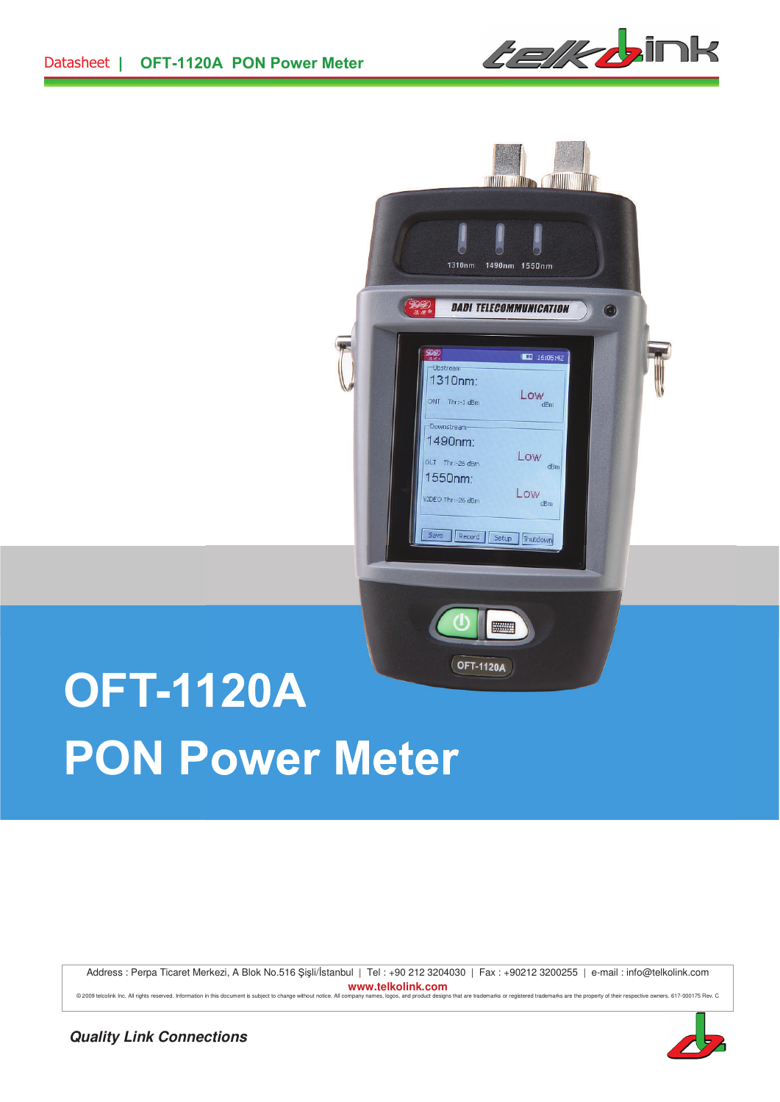



# **OFT-1120A PON Power Meter**

Address : Perpa Ticaret Merkezi, A Blok No.516 Şişli/İstanbul | Tel : +90 212 3204030 | Fax : +90212 3200255 | e-mail : info@telkolink.com **www.telkolink.com**<br> **Examplary names, logos, and product designs that a** 

© 2009 telocilink inc. All rights reserved. Information in this document is subject to change without notice. All company names, logos, and product designs that are trademarks or registered trademarks are the property of t

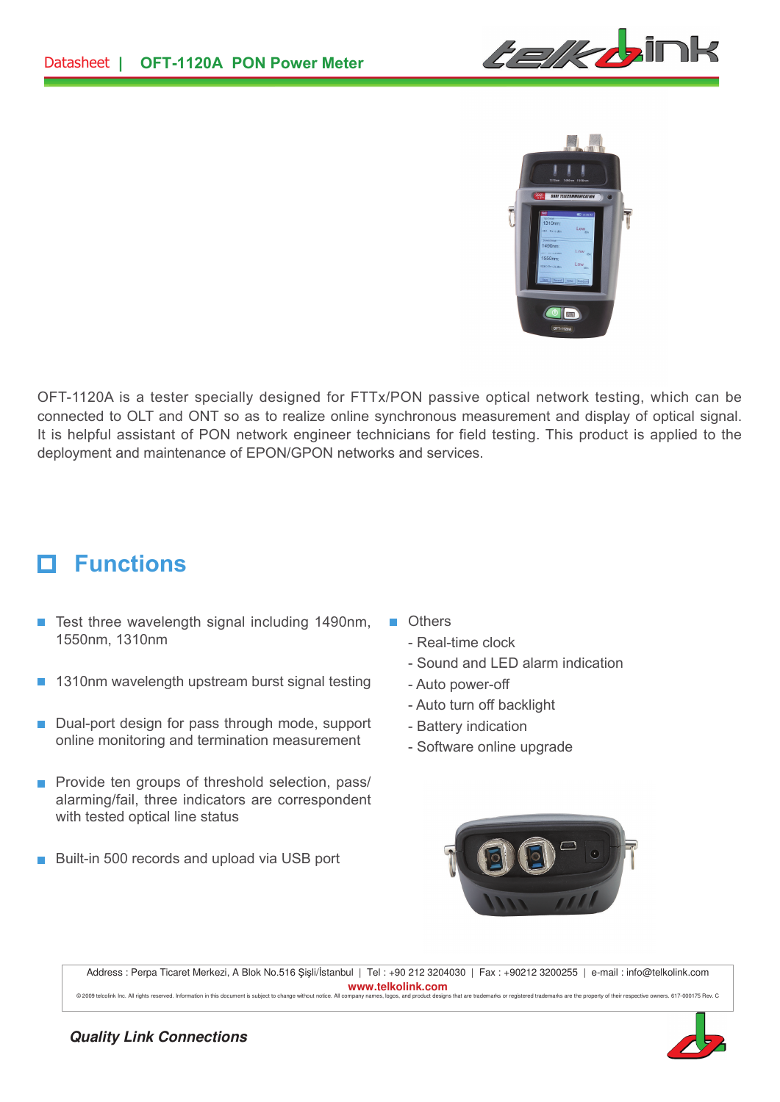



OFT-1120A is a tester specially designed for FTTx/PON passive optical network testing, which can be connected to OLT and ONT so as to realize online synchronous measurement and display of optical signal. It is helpful assistant of PON network engineer technicians for field testing. This product is applied to the deployment and maintenance of EPON/GPON networks and services.

#### **Functions** п

- $\blacksquare$  Test three wavelength signal including 1490nm, 1550nm, 1310nm
- 1310nm wavelength upstream burst signal testing
- Dual-port design for pass through mode, support online monitoring and termination measurement
- **Provide ten groups of threshold selection, pass/** alarming/fail, three indicators are correspondent with tested optical line status
- Built-in 500 records and upload via USB port  $\overline{\mathcal{A}}$
- **n** Others
	- Real-time clock
	- Sound and LED alarm indication
	- Auto power-off
	- Auto turn off backlight
	- Battery indication
	- Software online upgrade



Address : Perpa Ticaret Merkezi, A Blok No.516 Şişli/İstanbul | Tel : +90 212 3204030 | Fax : +90212 3200255 | e-mail : info@telkolink.com **www.telkolink.com**  @ 2009 telcolink Inc. All rights reserved. Information in this document is subject to change without notice. All company names, logos, and product designs that are trademarks or registered trademarks are the property of th

### **Quality Link Connections**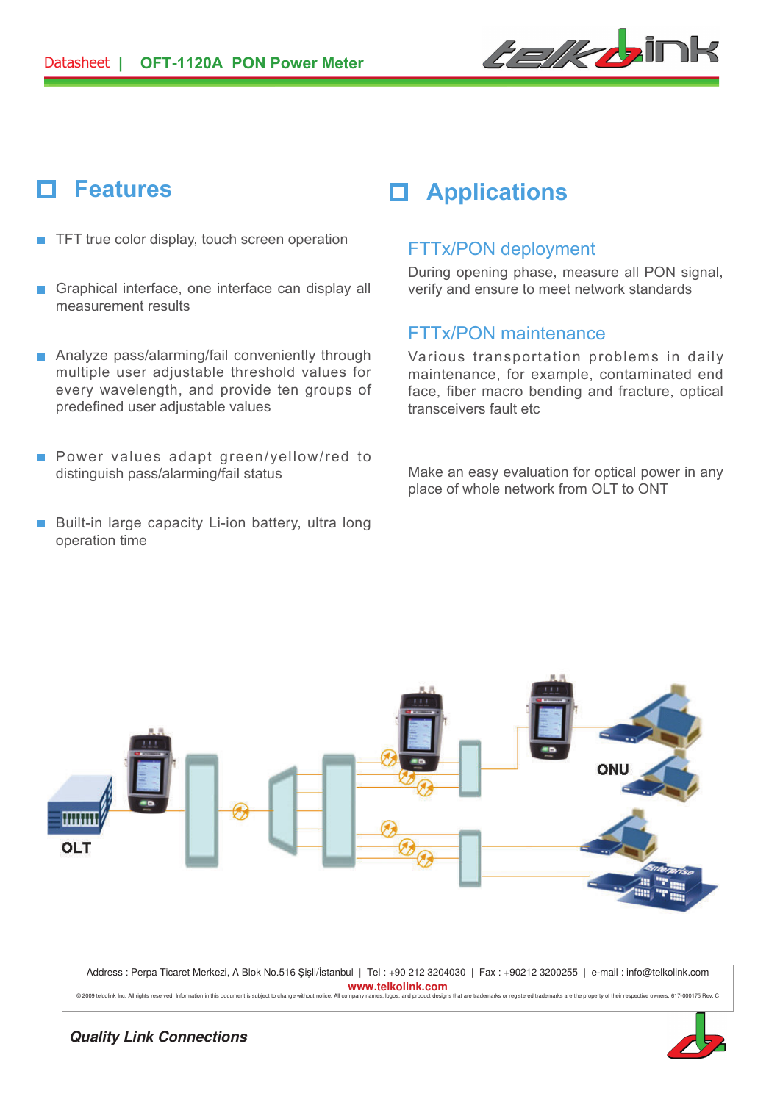

## П

- $\blacksquare$  TFT true color display, touch screen operation
- Graphical interface, one interface can display all  $\overline{\phantom{a}}$ measurement results
- Analyze pass/alarming/fail conveniently through multiple user adjustable threshold values for every wavelength, and provide ten groups of predefined user adjustable values
- **Power values adapt green/yellow/red to** distinguish pass/alarming/fail status
- Built-in large capacity Li-ion battery, ultra long operation time

# **Features Applications**

## FTTx/PON deployment

During opening phase, measure all PON signal, verify and ensure to meet network standards

## FTTx/PON maintenance

Various transportation problems in daily maintenance, for example, contaminated end face, fiber macro bending and fracture, optical transceivers fault etc

Make an easy evaluation for optical power in any place of whole network from OLT to ONT



Address : Perpa Ticaret Merkezi, A Blok No.516 Şişli/İstanbul | Tel : +90 212 3204030 | Fax : +90212 3200255 | e-mail : info@telkolink.com **www.telkolink.com** 

© 2009 telcolink Inc. All rights reserved. Information in this document is sub